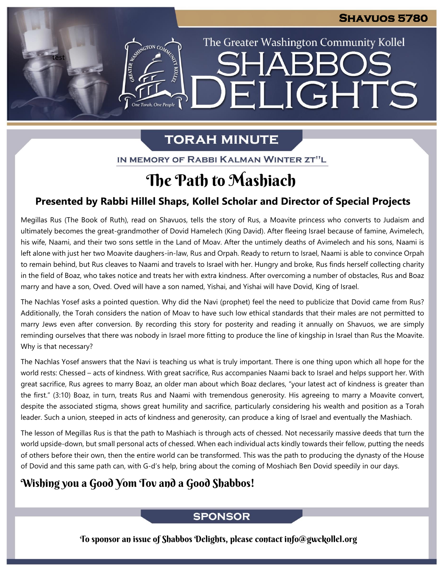The Greater Washington Community Kollel

ELIGHTS

**SHARR** 

# **TORAH MINUTE**

IN MEMORY OF RABBI KALMAN WINTER ZT"L

# The Path to Mashiach

# **Presented by Rabbi Hillel Shaps, Kollel Scholar and Director of Special Projects**

Megillas Rus (The Book of Ruth), read on Shavuos, tells the story of Rus, a Moavite princess who converts to Judaism and **From our archives** ultimately becomes the great-grandmother of Dovid Hamelech (King David). After fleeing Israel because of famine, Avimelech, his wife, Naami, and their two sons settle in the Land of Moav. After the untimely deaths of Avimelech and his sons, Naami is left alone with just her two Moavite daughers-in-law, Rus and Orpah. Ready to return to Israel, Naami is able to convince Orpah to remain behind, but Rus cleaves to Naami and travels to Israel with her. Hungry and broke, Rus finds herself collecting charity in the field of Boaz, who takes notice and treats her with extra kindness. After overcoming a number of obstacles, Rus and Boaz marry and have a son, Oved. Oved will have a son named, Yishai, and Yishai will have Dovid, King of Israel.

The Nachlas Yosef asks a pointed question. Why did the Navi (prophet) feel the need to publicize that Dovid came from Rus? Additionally, the Torah considers the nation of Moav to have such low ethical standards that their males are not permitted to marry Jews even after conversion. By recording this story for posterity and reading it annually on Shavuos, we are simply reminding ourselves that there was nobody in Israel more fitting to produce the line of kingship in Israel than Rus the Moavite. Why is that necessary?

The Nachlas Yosef answers that the Navi is teaching us what is truly important. There is one thing upon which all hope for the world rests: Chessed – acts of kindness. With great sacrifice, Rus accompanies Naami back to Israel and helps support her. With great sacrifice, Rus agrees to marry Boaz, an older man about which Boaz declares, "your latest act of kindness is greater than the first." (3:10) Boaz, in turn, treats Rus and Naami with tremendous generosity. His agreeing to marry a Moavite convert, despite the associated stigma, shows great humility and sacrifice, particularly considering his wealth and position as a Torah leader. Such a union, steeped in acts of kindness and generosity, can produce a king of Israel and eventually the Mashiach.

The lesson of Megillas Rus is that the path to Mashiach is through acts of chessed. Not necessarily massive deeds that turn the world upside-down, but small personal acts of chessed. When each individual acts kindly towards their fellow, putting the needs of others before their own, then the entire world can be transformed. This was the path to producing the dynasty of the House of Dovid and this same path can, with G-d's help, bring about the coming of Moshiach Ben Dovid speedily in our days.

# Wishing you a Good Yom Tov and a Good Shabbos!

test

EMERGION CON

One Torah, One People

## **SPONSOR**

To sponsor an issue of Shabbos Delights, please contact info@gwckollel.org